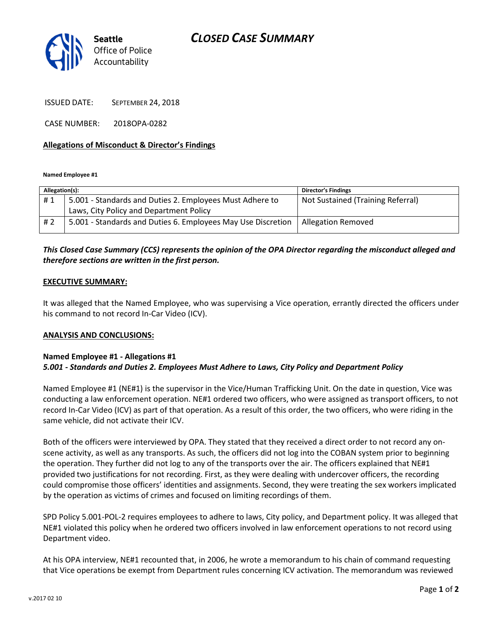# CLOSED CASE SUMMARY



ISSUED DATE: SEPTEMBER 24, 2018

CASE NUMBER: 2018OPA-0282

### Allegations of Misconduct & Director's Findings

Named Employee #1

| Allegation(s): |                                                              | <b>Director's Findings</b>        |
|----------------|--------------------------------------------------------------|-----------------------------------|
| #1             | 5.001 - Standards and Duties 2. Employees Must Adhere to     | Not Sustained (Training Referral) |
|                | Laws, City Policy and Department Policy                      |                                   |
| # 2            | 5.001 - Standards and Duties 6. Employees May Use Discretion | <b>Allegation Removed</b>         |

## This Closed Case Summary (CCS) represents the opinion of the OPA Director regarding the misconduct alleged and therefore sections are written in the first person.

### EXECUTIVE SUMMARY:

It was alleged that the Named Employee, who was supervising a Vice operation, errantly directed the officers under his command to not record In-Car Video (ICV).

#### ANALYSIS AND CONCLUSIONS:

#### Named Employee #1 - Allegations #1 5.001 - Standards and Duties 2. Employees Must Adhere to Laws, City Policy and Department Policy

Named Employee #1 (NE#1) is the supervisor in the Vice/Human Trafficking Unit. On the date in question, Vice was conducting a law enforcement operation. NE#1 ordered two officers, who were assigned as transport officers, to not record In-Car Video (ICV) as part of that operation. As a result of this order, the two officers, who were riding in the same vehicle, did not activate their ICV.

Both of the officers were interviewed by OPA. They stated that they received a direct order to not record any onscene activity, as well as any transports. As such, the officers did not log into the COBAN system prior to beginning the operation. They further did not log to any of the transports over the air. The officers explained that NE#1 provided two justifications for not recording. First, as they were dealing with undercover officers, the recording could compromise those officers' identities and assignments. Second, they were treating the sex workers implicated by the operation as victims of crimes and focused on limiting recordings of them.

SPD Policy 5.001-POL-2 requires employees to adhere to laws, City policy, and Department policy. It was alleged that NE#1 violated this policy when he ordered two officers involved in law enforcement operations to not record using Department video.

At his OPA interview, NE#1 recounted that, in 2006, he wrote a memorandum to his chain of command requesting that Vice operations be exempt from Department rules concerning ICV activation. The memorandum was reviewed